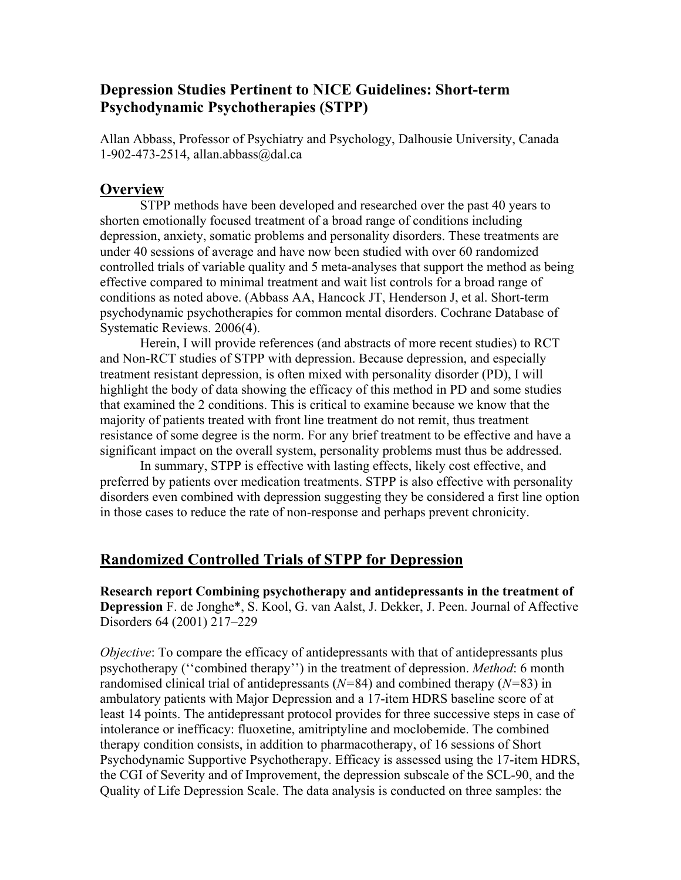## **Depression Studies Pertinent to NICE Guidelines: Short-term Psychodynamic Psychotherapies (STPP)**

Allan Abbass, Professor of Psychiatry and Psychology, Dalhousie University, Canada 1-902-473-2514, allan.abbass@dal.ca

### **Overview**

 STPP methods have been developed and researched over the past 40 years to shorten emotionally focused treatment of a broad range of conditions including depression, anxiety, somatic problems and personality disorders. These treatments are under 40 sessions of average and have now been studied with over 60 randomized controlled trials of variable quality and 5 meta-analyses that support the method as being effective compared to minimal treatment and wait list controls for a broad range of conditions as noted above. (Abbass AA, Hancock JT, Henderson J, et al. Short-term psychodynamic psychotherapies for common mental disorders. Cochrane Database of Systematic Reviews. 2006(4).

Herein, I will provide references (and abstracts of more recent studies) to RCT and Non-RCT studies of STPP with depression. Because depression, and especially treatment resistant depression, is often mixed with personality disorder (PD), I will highlight the body of data showing the efficacy of this method in PD and some studies that examined the 2 conditions. This is critical to examine because we know that the majority of patients treated with front line treatment do not remit, thus treatment resistance of some degree is the norm. For any brief treatment to be effective and have a significant impact on the overall system, personality problems must thus be addressed.

In summary, STPP is effective with lasting effects, likely cost effective, and preferred by patients over medication treatments. STPP is also effective with personality disorders even combined with depression suggesting they be considered a first line option in those cases to reduce the rate of non-response and perhaps prevent chronicity.

# **Randomized Controlled Trials of STPP for Depression**

**Research report Combining psychotherapy and antidepressants in the treatment of Depression** F. de Jonghe\*, S. Kool, G. van Aalst, J. Dekker, J. Peen. Journal of Affective Disorders 64 (2001) 217–229

*Objective*: To compare the efficacy of antidepressants with that of antidepressants plus psychotherapy (''combined therapy'') in the treatment of depression. *Method*: 6 month randomised clinical trial of antidepressants (*N=*84) and combined therapy (*N=*83) in ambulatory patients with Major Depression and a 17-item HDRS baseline score of at least 14 points. The antidepressant protocol provides for three successive steps in case of intolerance or inefficacy: fluoxetine, amitriptyline and moclobemide. The combined therapy condition consists, in addition to pharmacotherapy, of 16 sessions of Short Psychodynamic Supportive Psychotherapy. Efficacy is assessed using the 17-item HDRS, the CGI of Severity and of Improvement, the depression subscale of the SCL-90, and the Quality of Life Depression Scale. The data analysis is conducted on three samples: the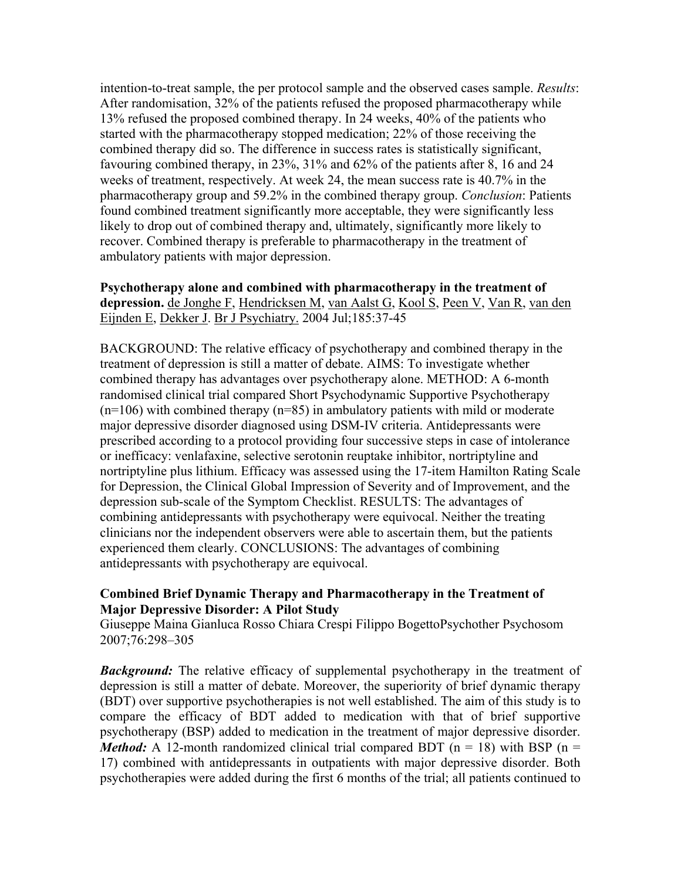intention-to-treat sample, the per protocol sample and the observed cases sample. *Results*: After randomisation, 32% of the patients refused the proposed pharmacotherapy while 13% refused the proposed combined therapy. In 24 weeks, 40% of the patients who started with the pharmacotherapy stopped medication; 22% of those receiving the combined therapy did so. The difference in success rates is statistically significant, favouring combined therapy, in 23%, 31% and 62% of the patients after 8, 16 and 24 weeks of treatment, respectively. At week 24, the mean success rate is 40.7% in the pharmacotherapy group and 59.2% in the combined therapy group. *Conclusion*: Patients found combined treatment significantly more acceptable, they were significantly less likely to drop out of combined therapy and, ultimately, significantly more likely to recover. Combined therapy is preferable to pharmacotherapy in the treatment of ambulatory patients with major depression.

### **Psychotherapy alone and combined with pharmacotherapy in the treatment of depression.** de Jonghe F, Hendricksen M, van Aalst G, Kool S, Peen V, Van R, van den Eijnden E, Dekker J. Br J Psychiatry. 2004 Jul;185:37-45

BACKGROUND: The relative efficacy of psychotherapy and combined therapy in the treatment of depression is still a matter of debate. AIMS: To investigate whether combined therapy has advantages over psychotherapy alone. METHOD: A 6-month randomised clinical trial compared Short Psychodynamic Supportive Psychotherapy  $(n=106)$  with combined therapy  $(n=85)$  in ambulatory patients with mild or moderate major depressive disorder diagnosed using DSM-IV criteria. Antidepressants were prescribed according to a protocol providing four successive steps in case of intolerance or inefficacy: venlafaxine, selective serotonin reuptake inhibitor, nortriptyline and nortriptyline plus lithium. Efficacy was assessed using the 17-item Hamilton Rating Scale for Depression, the Clinical Global Impression of Severity and of Improvement, and the depression sub-scale of the Symptom Checklist. RESULTS: The advantages of combining antidepressants with psychotherapy were equivocal. Neither the treating clinicians nor the independent observers were able to ascertain them, but the patients experienced them clearly. CONCLUSIONS: The advantages of combining antidepressants with psychotherapy are equivocal.

### **Combined Brief Dynamic Therapy and Pharmacotherapy in the Treatment of Major Depressive Disorder: A Pilot Study**

Giuseppe Maina Gianluca Rosso Chiara Crespi Filippo BogettoPsychother Psychosom 2007;76:298–305

**Background:** The relative efficacy of supplemental psychotherapy in the treatment of depression is still a matter of debate. Moreover, the superiority of brief dynamic therapy (BDT) over supportive psychotherapies is not well established. The aim of this study is to compare the efficacy of BDT added to medication with that of brief supportive psychotherapy (BSP) added to medication in the treatment of major depressive disorder. *Method:* A 12-month randomized clinical trial compared BDT ( $n = 18$ ) with BSP ( $n =$ 17) combined with antidepressants in outpatients with major depressive disorder. Both psychotherapies were added during the first 6 months of the trial; all patients continued to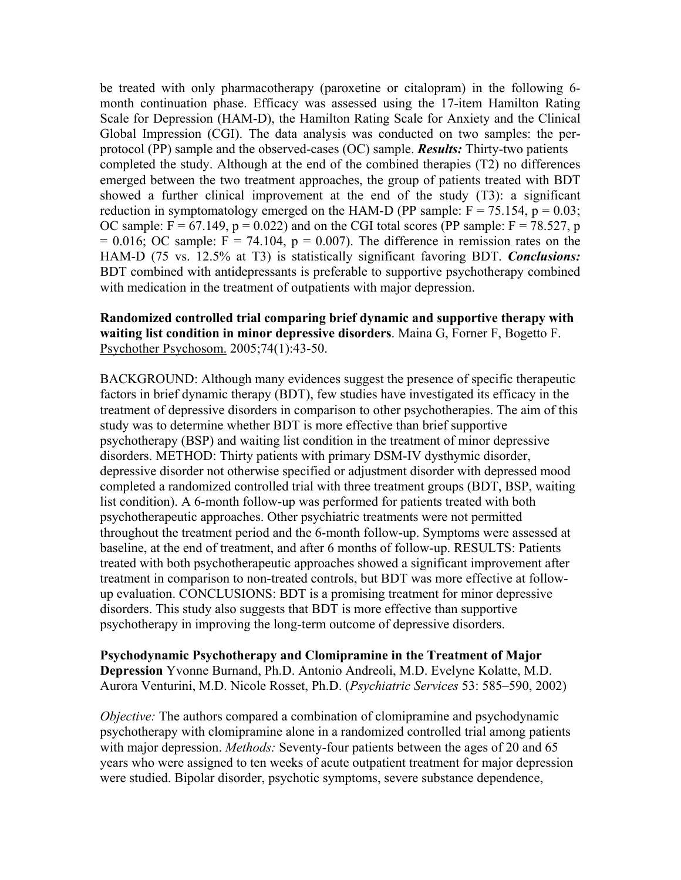be treated with only pharmacotherapy (paroxetine or citalopram) in the following 6 month continuation phase. Efficacy was assessed using the 17-item Hamilton Rating Scale for Depression (HAM-D), the Hamilton Rating Scale for Anxiety and the Clinical Global Impression (CGI). The data analysis was conducted on two samples: the perprotocol (PP) sample and the observed-cases (OC) sample. *Results:* Thirty-two patients completed the study. Although at the end of the combined therapies (T2) no differences emerged between the two treatment approaches, the group of patients treated with BDT showed a further clinical improvement at the end of the study (T3): a significant reduction in symptomatology emerged on the HAM-D (PP sample:  $F = 75.154$ ,  $p = 0.03$ ; OC sample:  $F = 67.149$ ,  $p = 0.022$ ) and on the CGI total scores (PP sample:  $F = 78.527$ , p  $= 0.016$ ; OC sample:  $F = 74.104$ ,  $p = 0.007$ ). The difference in remission rates on the HAM-D (75 vs. 12.5% at T3) is statistically significant favoring BDT. *Conclusions:*  BDT combined with antidepressants is preferable to supportive psychotherapy combined with medication in the treatment of outpatients with major depression.

### **Randomized controlled trial comparing brief dynamic and supportive therapy with waiting list condition in minor depressive disorders**. Maina G, Forner F, Bogetto F. Psychother Psychosom. 2005;74(1):43-50.

BACKGROUND: Although many evidences suggest the presence of specific therapeutic factors in brief dynamic therapy (BDT), few studies have investigated its efficacy in the treatment of depressive disorders in comparison to other psychotherapies. The aim of this study was to determine whether BDT is more effective than brief supportive psychotherapy (BSP) and waiting list condition in the treatment of minor depressive disorders. METHOD: Thirty patients with primary DSM-IV dysthymic disorder, depressive disorder not otherwise specified or adjustment disorder with depressed mood completed a randomized controlled trial with three treatment groups (BDT, BSP, waiting list condition). A 6-month follow-up was performed for patients treated with both psychotherapeutic approaches. Other psychiatric treatments were not permitted throughout the treatment period and the 6-month follow-up. Symptoms were assessed at baseline, at the end of treatment, and after 6 months of follow-up. RESULTS: Patients treated with both psychotherapeutic approaches showed a significant improvement after treatment in comparison to non-treated controls, but BDT was more effective at followup evaluation. CONCLUSIONS: BDT is a promising treatment for minor depressive disorders. This study also suggests that BDT is more effective than supportive psychotherapy in improving the long-term outcome of depressive disorders.

#### **Psychodynamic Psychotherapy and Clomipramine in the Treatment of Major Depression** Yvonne Burnand, Ph.D. Antonio Andreoli, M.D. Evelyne Kolatte, M.D. Aurora Venturini, M.D. Nicole Rosset, Ph.D. (*Psychiatric Services* 53: 585–590, 2002)

*Objective:* The authors compared a combination of clomipramine and psychodynamic psychotherapy with clomipramine alone in a randomized controlled trial among patients with major depression. *Methods:* Seventy-four patients between the ages of 20 and 65 years who were assigned to ten weeks of acute outpatient treatment for major depression were studied. Bipolar disorder, psychotic symptoms, severe substance dependence,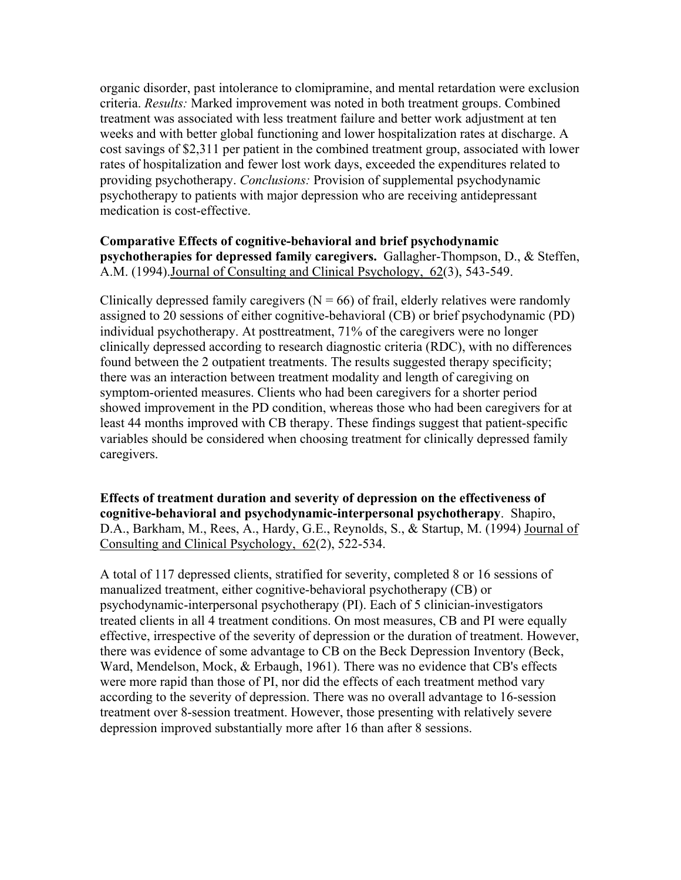organic disorder, past intolerance to clomipramine, and mental retardation were exclusion criteria. *Results:* Marked improvement was noted in both treatment groups. Combined treatment was associated with less treatment failure and better work adjustment at ten weeks and with better global functioning and lower hospitalization rates at discharge. A cost savings of \$2,311 per patient in the combined treatment group, associated with lower rates of hospitalization and fewer lost work days, exceeded the expenditures related to providing psychotherapy. *Conclusions:* Provision of supplemental psychodynamic psychotherapy to patients with major depression who are receiving antidepressant medication is cost-effective.

**Comparative Effects of cognitive-behavioral and brief psychodynamic psychotherapies for depressed family caregivers.** Gallagher-Thompson, D., & Steffen, A.M. (1994).Journal of Consulting and Clinical Psychology, 62(3), 543-549.

Clinically depressed family caregivers  $(N = 66)$  of frail, elderly relatives were randomly assigned to 20 sessions of either cognitive-behavioral (CB) or brief psychodynamic (PD) individual psychotherapy. At posttreatment, 71% of the caregivers were no longer clinically depressed according to research diagnostic criteria (RDC), with no differences found between the 2 outpatient treatments. The results suggested therapy specificity; there was an interaction between treatment modality and length of caregiving on symptom-oriented measures. Clients who had been caregivers for a shorter period showed improvement in the PD condition, whereas those who had been caregivers for at least 44 months improved with CB therapy. These findings suggest that patient-specific variables should be considered when choosing treatment for clinically depressed family caregivers.

**Effects of treatment duration and severity of depression on the effectiveness of cognitive-behavioral and psychodynamic-interpersonal psychotherapy**. Shapiro, D.A., Barkham, M., Rees, A., Hardy, G.E., Reynolds, S., & Startup, M. (1994) Journal of Consulting and Clinical Psychology, 62(2), 522-534.

A total of 117 depressed clients, stratified for severity, completed 8 or 16 sessions of manualized treatment, either cognitive-behavioral psychotherapy (CB) or psychodynamic-interpersonal psychotherapy (PI). Each of 5 clinician-investigators treated clients in all 4 treatment conditions. On most measures, CB and PI were equally effective, irrespective of the severity of depression or the duration of treatment. However, there was evidence of some advantage to CB on the Beck Depression Inventory (Beck, Ward, Mendelson, Mock, & Erbaugh, 1961). There was no evidence that CB's effects were more rapid than those of PI, nor did the effects of each treatment method vary according to the severity of depression. There was no overall advantage to 16-session treatment over 8-session treatment. However, those presenting with relatively severe depression improved substantially more after 16 than after 8 sessions.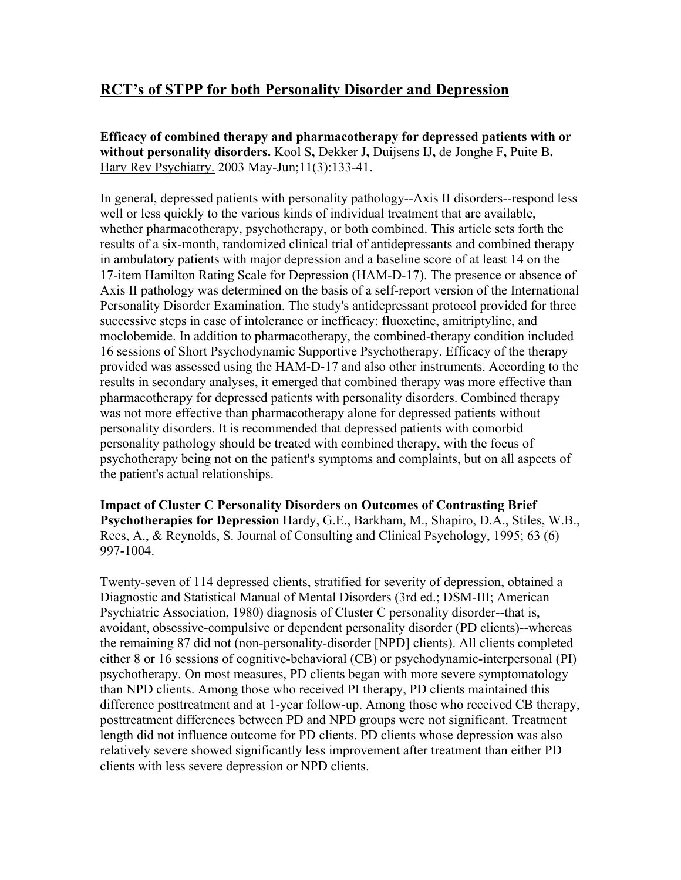# **RCT's of STPP for both Personality Disorder and Depression**

**Efficacy of combined therapy and pharmacotherapy for depressed patients with or without personality disorders.** Kool S**,** Dekker J**,** Duijsens IJ**,** de Jonghe F**,** Puite B**.** Harv Rev Psychiatry. 2003 May-Jun;11(3):133-41.

In general, depressed patients with personality pathology--Axis II disorders--respond less well or less quickly to the various kinds of individual treatment that are available, whether pharmacotherapy, psychotherapy, or both combined. This article sets forth the results of a six-month, randomized clinical trial of antidepressants and combined therapy in ambulatory patients with major depression and a baseline score of at least 14 on the 17-item Hamilton Rating Scale for Depression (HAM-D-17). The presence or absence of Axis II pathology was determined on the basis of a self-report version of the International Personality Disorder Examination. The study's antidepressant protocol provided for three successive steps in case of intolerance or inefficacy: fluoxetine, amitriptyline, and moclobemide. In addition to pharmacotherapy, the combined-therapy condition included 16 sessions of Short Psychodynamic Supportive Psychotherapy. Efficacy of the therapy provided was assessed using the HAM-D-17 and also other instruments. According to the results in secondary analyses, it emerged that combined therapy was more effective than pharmacotherapy for depressed patients with personality disorders. Combined therapy was not more effective than pharmacotherapy alone for depressed patients without personality disorders. It is recommended that depressed patients with comorbid personality pathology should be treated with combined therapy, with the focus of psychotherapy being not on the patient's symptoms and complaints, but on all aspects of the patient's actual relationships.

**Impact of Cluster C Personality Disorders on Outcomes of Contrasting Brief Psychotherapies for Depression** Hardy, G.E., Barkham, M., Shapiro, D.A., Stiles, W.B., Rees, A., & Reynolds, S. Journal of Consulting and Clinical Psychology, 1995; 63 (6) 997-1004.

Twenty-seven of 114 depressed clients, stratified for severity of depression, obtained a Diagnostic and Statistical Manual of Mental Disorders (3rd ed.; DSM-III; American Psychiatric Association, 1980) diagnosis of Cluster C personality disorder--that is, avoidant, obsessive-compulsive or dependent personality disorder (PD clients)--whereas the remaining 87 did not (non-personality-disorder [NPD] clients). All clients completed either 8 or 16 sessions of cognitive-behavioral (CB) or psychodynamic-interpersonal (PI) psychotherapy. On most measures, PD clients began with more severe symptomatology than NPD clients. Among those who received PI therapy, PD clients maintained this difference posttreatment and at 1-year follow-up. Among those who received CB therapy, posttreatment differences between PD and NPD groups were not significant. Treatment length did not influence outcome for PD clients. PD clients whose depression was also relatively severe showed significantly less improvement after treatment than either PD clients with less severe depression or NPD clients.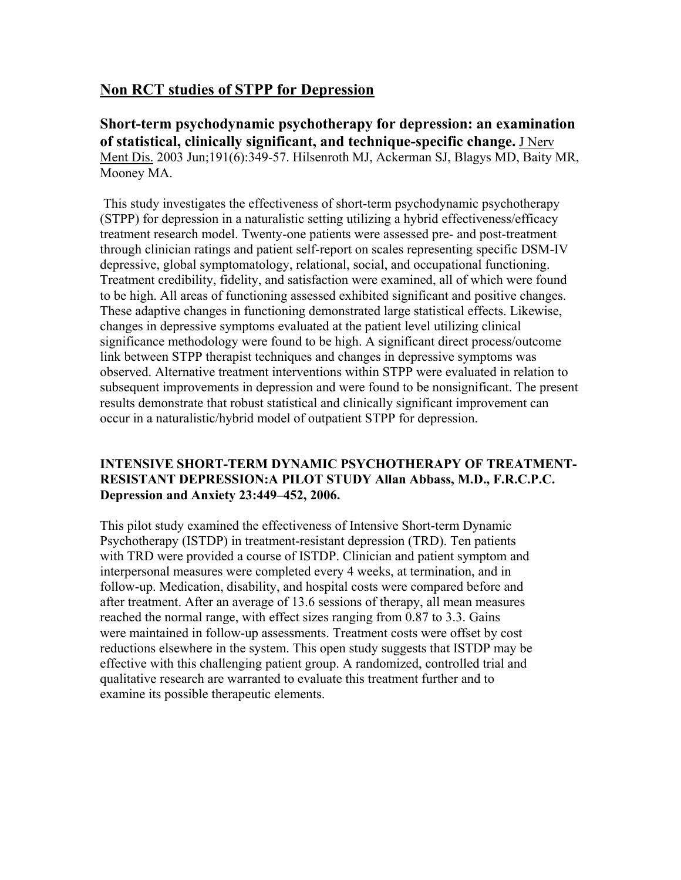# **Non RCT studies of STPP for Depression**

**Short-term psychodynamic psychotherapy for depression: an examination of statistical, clinically significant, and technique-specific change.** J Nerv Ment Dis. 2003 Jun;191(6):349-57. Hilsenroth MJ, Ackerman SJ, Blagys MD, Baity MR, Mooney MA.

 This study investigates the effectiveness of short-term psychodynamic psychotherapy (STPP) for depression in a naturalistic setting utilizing a hybrid effectiveness/efficacy treatment research model. Twenty-one patients were assessed pre- and post-treatment through clinician ratings and patient self-report on scales representing specific DSM-IV depressive, global symptomatology, relational, social, and occupational functioning. Treatment credibility, fidelity, and satisfaction were examined, all of which were found to be high. All areas of functioning assessed exhibited significant and positive changes. These adaptive changes in functioning demonstrated large statistical effects. Likewise, changes in depressive symptoms evaluated at the patient level utilizing clinical significance methodology were found to be high. A significant direct process/outcome link between STPP therapist techniques and changes in depressive symptoms was observed. Alternative treatment interventions within STPP were evaluated in relation to subsequent improvements in depression and were found to be nonsignificant. The present results demonstrate that robust statistical and clinically significant improvement can occur in a naturalistic/hybrid model of outpatient STPP for depression.

### **INTENSIVE SHORT-TERM DYNAMIC PSYCHOTHERAPY OF TREATMENT-RESISTANT DEPRESSION:A PILOT STUDY Allan Abbass, M.D., F.R.C.P.C. Depression and Anxiety 23:449–452, 2006.**

This pilot study examined the effectiveness of Intensive Short-term Dynamic Psychotherapy (ISTDP) in treatment-resistant depression (TRD). Ten patients with TRD were provided a course of ISTDP. Clinician and patient symptom and interpersonal measures were completed every 4 weeks, at termination, and in follow-up. Medication, disability, and hospital costs were compared before and after treatment. After an average of 13.6 sessions of therapy, all mean measures reached the normal range, with effect sizes ranging from 0.87 to 3.3. Gains were maintained in follow-up assessments. Treatment costs were offset by cost reductions elsewhere in the system. This open study suggests that ISTDP may be effective with this challenging patient group. A randomized, controlled trial and qualitative research are warranted to evaluate this treatment further and to examine its possible therapeutic elements.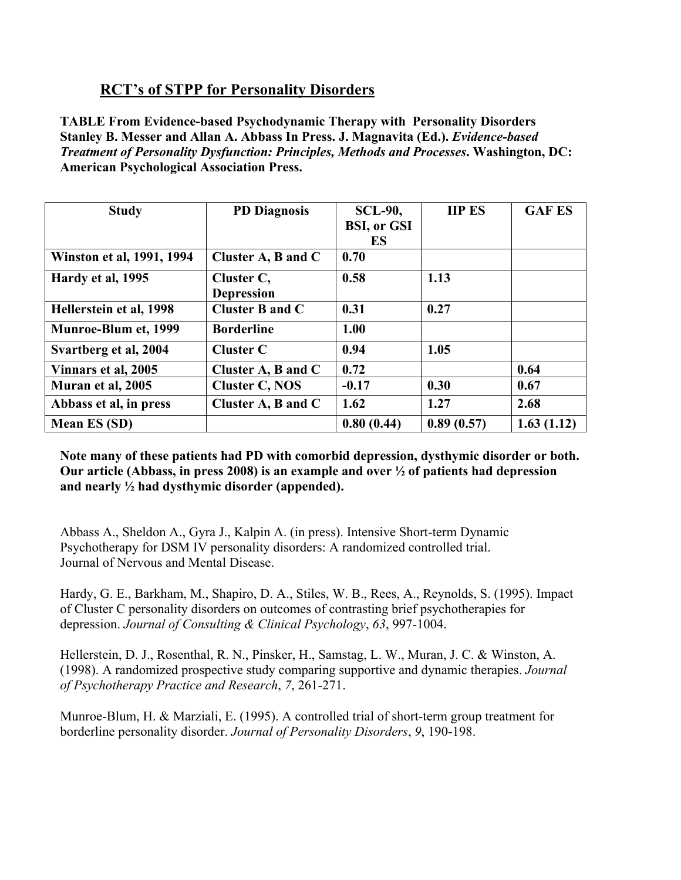# **RCT's of STPP for Personality Disorders**

**TABLE From Evidence-based Psychodynamic Therapy with Personality Disorders Stanley B. Messer and Allan A. Abbass In Press. J. Magnavita (Ed.).** *Evidence-based Treatment of Personality Dysfunction: Principles, Methods and Processes***. Washington, DC: American Psychological Association Press.** 

| <b>Study</b>                | <b>PD Diagnosis</b> | <b>SCL-90,</b>     | <b>IIP ES</b> | <b>GAF ES</b> |
|-----------------------------|---------------------|--------------------|---------------|---------------|
|                             |                     | <b>BSI, or GSI</b> |               |               |
|                             |                     | ES                 |               |               |
| Winston et al, 1991, 1994   | Cluster A, B and C  | 0.70               |               |               |
| Hardy et al, 1995           | Cluster C,          | 0.58               | 1.13          |               |
|                             | <b>Depression</b>   |                    |               |               |
| Hellerstein et al, 1998     | Cluster B and C     | 0.31               | 0.27          |               |
| <b>Munroe-Blum et, 1999</b> | <b>Borderline</b>   | 1.00               |               |               |
| Svartberg et al, 2004       | <b>Cluster C</b>    | 0.94               | 1.05          |               |
| Vinnars et al, 2005         | Cluster A, B and C  | 0.72               |               | 0.64          |
| Muran et al, 2005           | Cluster C, NOS      | $-0.17$            | 0.30          | 0.67          |
| Abbass et al, in press      | Cluster A, B and C  | 1.62               | 1.27          | 2.68          |
| <b>Mean ES (SD)</b>         |                     | 0.80(0.44)         | 0.89(0.57)    | 1.63(1.12)    |

**Note many of these patients had PD with comorbid depression, dysthymic disorder or both. Our article (Abbass, in press 2008) is an example and over ½ of patients had depression and nearly ½ had dysthymic disorder (appended).** 

Abbass A., Sheldon A., Gyra J., Kalpin A. (in press). Intensive Short-term Dynamic Psychotherapy for DSM IV personality disorders: A randomized controlled trial. Journal of Nervous and Mental Disease.

Hardy, G. E., Barkham, M., Shapiro, D. A., Stiles, W. B., Rees, A., Reynolds, S. (1995). Impact of Cluster C personality disorders on outcomes of contrasting brief psychotherapies for depression. *Journal of Consulting & Clinical Psychology*, *63*, 997-1004.

Hellerstein, D. J., Rosenthal, R. N., Pinsker, H., Samstag, L. W., Muran, J. C. & Winston, A. (1998). A randomized prospective study comparing supportive and dynamic therapies. *Journal of Psychotherapy Practice and Research*, *7*, 261-271.

Munroe-Blum, H. & Marziali, E. (1995). A controlled trial of short-term group treatment for borderline personality disorder. *Journal of Personality Disorders*, *9*, 190-198.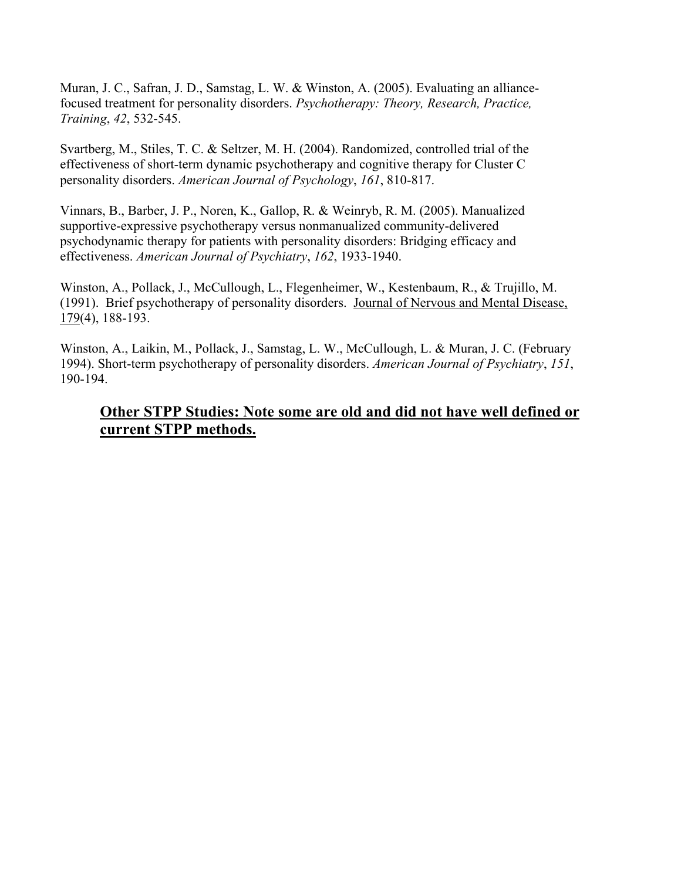Muran, J. C., Safran, J. D., Samstag, L. W. & Winston, A. (2005). Evaluating an alliancefocused treatment for personality disorders. *Psychotherapy: Theory, Research, Practice, Training*, *42*, 532-545.

Svartberg, M., Stiles, T. C. & Seltzer, M. H. (2004). Randomized, controlled trial of the effectiveness of short-term dynamic psychotherapy and cognitive therapy for Cluster C personality disorders. *American Journal of Psychology*, *161*, 810-817.

Vinnars, B., Barber, J. P., Noren, K., Gallop, R. & Weinryb, R. M. (2005). Manualized supportive-expressive psychotherapy versus nonmanualized community-delivered psychodynamic therapy for patients with personality disorders: Bridging efficacy and effectiveness. *American Journal of Psychiatry*, *162*, 1933-1940.

Winston, A., Pollack, J., McCullough, L., Flegenheimer, W., Kestenbaum, R., & Trujillo, M. (1991). Brief psychotherapy of personality disorders. Journal of Nervous and Mental Disease, 179(4), 188-193.

Winston, A., Laikin, M., Pollack, J., Samstag, L. W., McCullough, L. & Muran, J. C. (February 1994). Short-term psychotherapy of personality disorders. *American Journal of Psychiatry*, *151*, 190-194.

## **Other STPP Studies: Note some are old and did not have well defined or current STPP methods.**